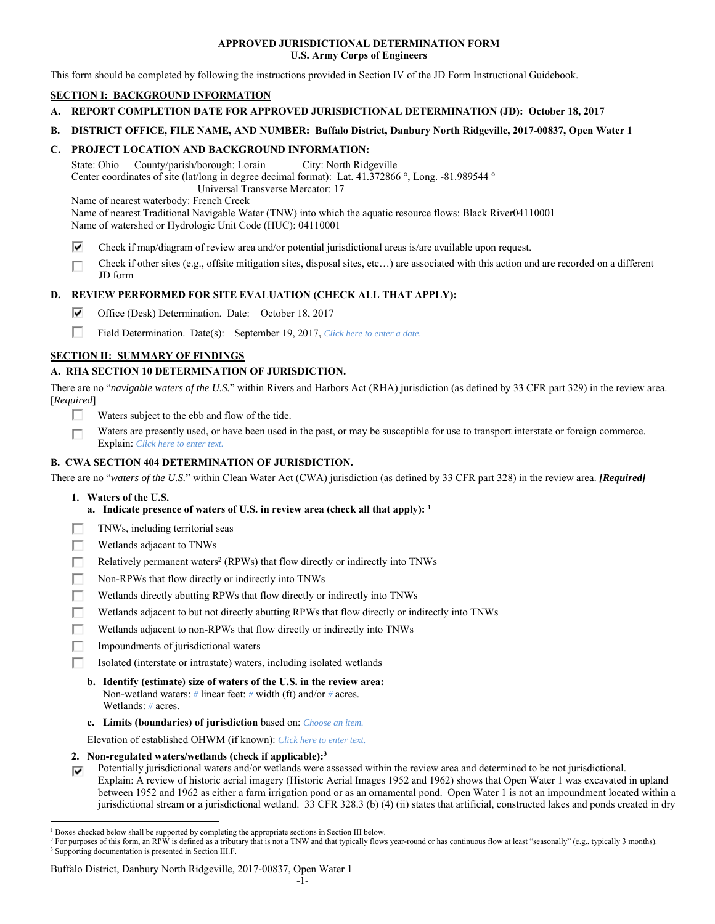### **APPROVED JURISDICTIONAL DETERMINATION FORM U.S. Army Corps of Engineers**

This form should be completed by following the instructions provided in Section IV of the JD Form Instructional Guidebook.

# **SECTION I: BACKGROUND INFORMATION**

- **A. REPORT COMPLETION DATE FOR APPROVED JURISDICTIONAL DETERMINATION (JD): October 18, 2017**
- **B. DISTRICT OFFICE, FILE NAME, AND NUMBER: Buffalo District, Danbury North Ridgeville, 2017-00837, Open Water 1**

### **C. PROJECT LOCATION AND BACKGROUND INFORMATION:**

State: Ohio County/parish/borough: Lorain City: North Ridgeville Center coordinates of site (lat/long in degree decimal format): Lat. 41.372866 °, Long. -81.989544 ° Universal Transverse Mercator: 17

Name of nearest waterbody: French Creek

Name of nearest Traditional Navigable Water (TNW) into which the aquatic resource flows: Black River04110001 Name of watershed or Hydrologic Unit Code (HUC): 04110001

- ⊽ Check if map/diagram of review area and/or potential jurisdictional areas is/are available upon request.
- Check if other sites (e.g., offsite mitigation sites, disposal sites, etc…) are associated with this action and are recorded on a different г JD form

## **D. REVIEW PERFORMED FOR SITE EVALUATION (CHECK ALL THAT APPLY):**

- ⊽ Office (Desk) Determination. Date: October 18, 2017
- П Field Determination. Date(s): September 19, 2017, *Click here to enter a date.*

## **SECTION II: SUMMARY OF FINDINGS**

## **A. RHA SECTION 10 DETERMINATION OF JURISDICTION.**

There are no "*navigable waters of the U.S.*" within Rivers and Harbors Act (RHA) jurisdiction (as defined by 33 CFR part 329) in the review area. [*Required*]

- п. Waters subject to the ebb and flow of the tide.
- Waters are presently used, or have been used in the past, or may be susceptible for use to transport interstate or foreign commerce. п Explain: *Click here to enter text.*

### **B. CWA SECTION 404 DETERMINATION OF JURISDICTION.**

There are no "*waters of the U.S.*" within Clean Water Act (CWA) jurisdiction (as defined by 33 CFR part 328) in the review area. *[Required]*

#### **1. Waters of the U.S.**

 $\overline{a}$ 

- **a. Indicate presence of waters of U.S. in review area (check all that apply): 1**
- Е TNWs, including territorial seas
- П Wetlands adjacent to TNWs
- Relatively permanent waters<sup>2</sup> (RPWs) that flow directly or indirectly into TNWs г
- г Non-RPWs that flow directly or indirectly into TNWs
- п Wetlands directly abutting RPWs that flow directly or indirectly into TNWs
- Wetlands adjacent to but not directly abutting RPWs that flow directly or indirectly into TNWs Е
- Wetlands adjacent to non-RPWs that flow directly or indirectly into TNWs г
- п Impoundments of jurisdictional waters
- Isolated (interstate or intrastate) waters, including isolated wetlands П.
	- **b. Identify (estimate) size of waters of the U.S. in the review area:**  Non-wetland waters: *#* linear feet: *#* width (ft) and/or *#* acres. Wetlands: *#* acres.
	- **c. Limits (boundaries) of jurisdiction** based on: *Choose an item.*

Elevation of established OHWM (if known): *Click here to enter text.*

- **2. Non-regulated waters/wetlands (check if applicable):3**
- Potentially jurisdictional waters and/or wetlands were assessed within the review area and determined to be not jurisdictional. ⊽ Explain: A review of historic aerial imagery (Historic Aerial Images 1952 and 1962) shows that Open Water 1 was excavated in upland between 1952 and 1962 as either a farm irrigation pond or as an ornamental pond. Open Water 1 is not an impoundment located within a jurisdictional stream or a jurisdictional wetland. 33 CFR 328.3 (b) (4) (ii) states that artificial, constructed lakes and ponds created in dry

#### Buffalo District, Danbury North Ridgeville, 2017-00837, Open Water 1

<sup>&</sup>lt;sup>1</sup> Boxes checked below shall be supported by completing the appropriate sections in Section III below.<br><sup>2</sup> For purposes of this form, an PPW is defined as a tributary that is not a TNW and that typically flows

<sup>&</sup>lt;sup>2</sup> For purposes of this form, an RPW is defined as a tributary that is not a TNW and that typically flows year-round or has continuous flow at least "seasonally" (e.g., typically 3 months). <sup>3</sup> Supporting documentation is presented in Section III.F.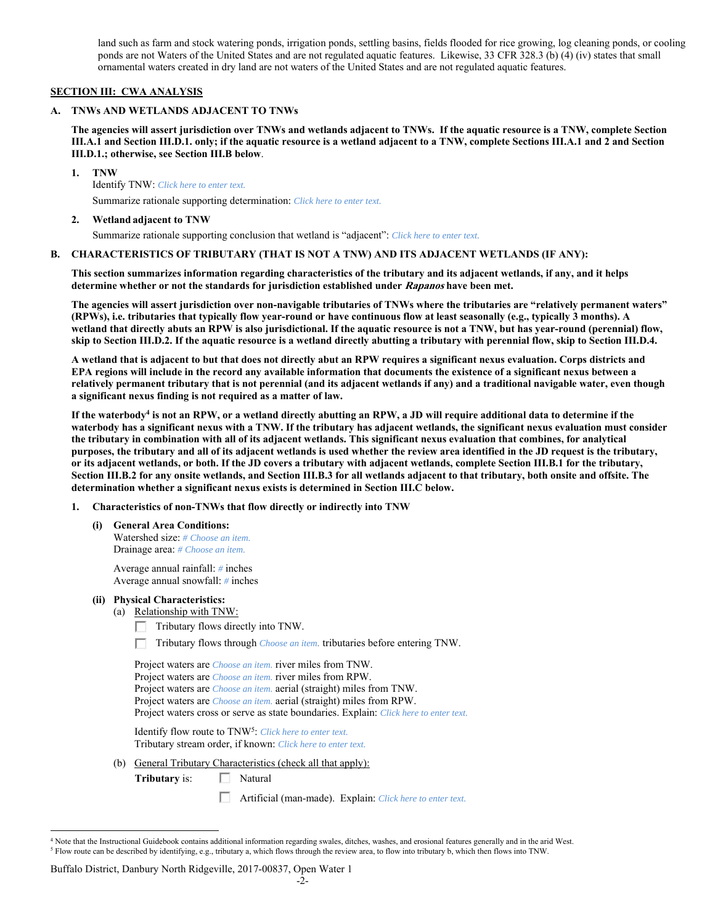land such as farm and stock watering ponds, irrigation ponds, settling basins, fields flooded for rice growing, log cleaning ponds, or cooling ponds are not Waters of the United States and are not regulated aquatic features. Likewise, 33 CFR 328.3 (b) (4) (iv) states that small ornamental waters created in dry land are not waters of the United States and are not regulated aquatic features.

### **SECTION III: CWA ANALYSIS**

#### **A. TNWs AND WETLANDS ADJACENT TO TNWs**

**The agencies will assert jurisdiction over TNWs and wetlands adjacent to TNWs. If the aquatic resource is a TNW, complete Section III.A.1 and Section III.D.1. only; if the aquatic resource is a wetland adjacent to a TNW, complete Sections III.A.1 and 2 and Section III.D.1.; otherwise, see Section III.B below**.

 **1. TNW** 

Identify TNW: *Click here to enter text.*

Summarize rationale supporting determination: *Click here to enter text.*

### **2. Wetland adjacent to TNW**

Summarize rationale supporting conclusion that wetland is "adjacent": *Click here to enter text.*

### **B. CHARACTERISTICS OF TRIBUTARY (THAT IS NOT A TNW) AND ITS ADJACENT WETLANDS (IF ANY):**

**This section summarizes information regarding characteristics of the tributary and its adjacent wetlands, if any, and it helps determine whether or not the standards for jurisdiction established under Rapanos have been met.** 

**The agencies will assert jurisdiction over non-navigable tributaries of TNWs where the tributaries are "relatively permanent waters" (RPWs), i.e. tributaries that typically flow year-round or have continuous flow at least seasonally (e.g., typically 3 months). A wetland that directly abuts an RPW is also jurisdictional. If the aquatic resource is not a TNW, but has year-round (perennial) flow, skip to Section III.D.2. If the aquatic resource is a wetland directly abutting a tributary with perennial flow, skip to Section III.D.4.** 

**A wetland that is adjacent to but that does not directly abut an RPW requires a significant nexus evaluation. Corps districts and EPA regions will include in the record any available information that documents the existence of a significant nexus between a relatively permanent tributary that is not perennial (and its adjacent wetlands if any) and a traditional navigable water, even though a significant nexus finding is not required as a matter of law.**

If the waterbody<sup>4</sup> is not an RPW, or a wetland directly abutting an RPW, a JD will require additional data to determine if the **waterbody has a significant nexus with a TNW. If the tributary has adjacent wetlands, the significant nexus evaluation must consider the tributary in combination with all of its adjacent wetlands. This significant nexus evaluation that combines, for analytical purposes, the tributary and all of its adjacent wetlands is used whether the review area identified in the JD request is the tributary, or its adjacent wetlands, or both. If the JD covers a tributary with adjacent wetlands, complete Section III.B.1 for the tributary, Section III.B.2 for any onsite wetlands, and Section III.B.3 for all wetlands adjacent to that tributary, both onsite and offsite. The determination whether a significant nexus exists is determined in Section III.C below.** 

 **1. Characteristics of non-TNWs that flow directly or indirectly into TNW** 

 **(i) General Area Conditions:**  Watershed size: *# Choose an item.* Drainage area: *# Choose an item.*

> Average annual rainfall: *#* inches Average annual snowfall: *#* inches

- **(ii) Physical Characteristics:** 
	- (a) Relationship with TNW:
		- $\Box$  Tributary flows directly into TNW.

Tributary flows through *Choose an item.* tributaries before entering TNW.

| Project waters are <i>Choose an item</i> . river miles from TNW.                      |
|---------------------------------------------------------------------------------------|
| Project waters are <i>Choose an item</i> , river miles from RPW.                      |
| Project waters are <i>Choose an item.</i> aerial (straight) miles from TNW.           |
| Project waters are <i>Choose an item.</i> aerial (straight) miles from RPW.           |
| Project waters cross or serve as state boundaries. Explain: Click here to enter text. |
|                                                                                       |

Identify flow route to TNW5: *Click here to enter text.* Tributary stream order, if known: *Click here to enter text.*

(b) General Tributary Characteristics (check all that apply):

**Tributary** is: □ Natural

Artificial (man-made). Explain: *Click here to enter text.*

#### Buffalo District, Danbury North Ridgeville, 2017-00837, Open Water 1

 $\overline{a}$ <sup>4</sup> Note that the Instructional Guidebook contains additional information regarding swales, ditches, washes, and erosional features generally and in the arid West.  $^5$  Flow route can be described by identifying, e.g., tributary a, which flows through the review area, to flow into tributary b, which then flows into TNW.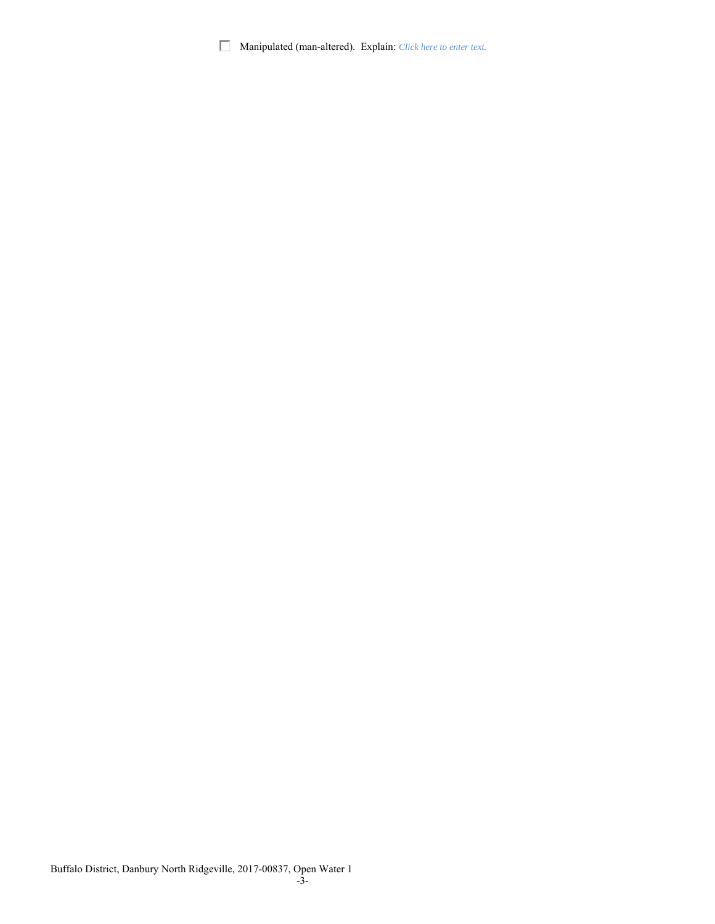Manipulated (man-altered). Explain: *Click here to enter text.*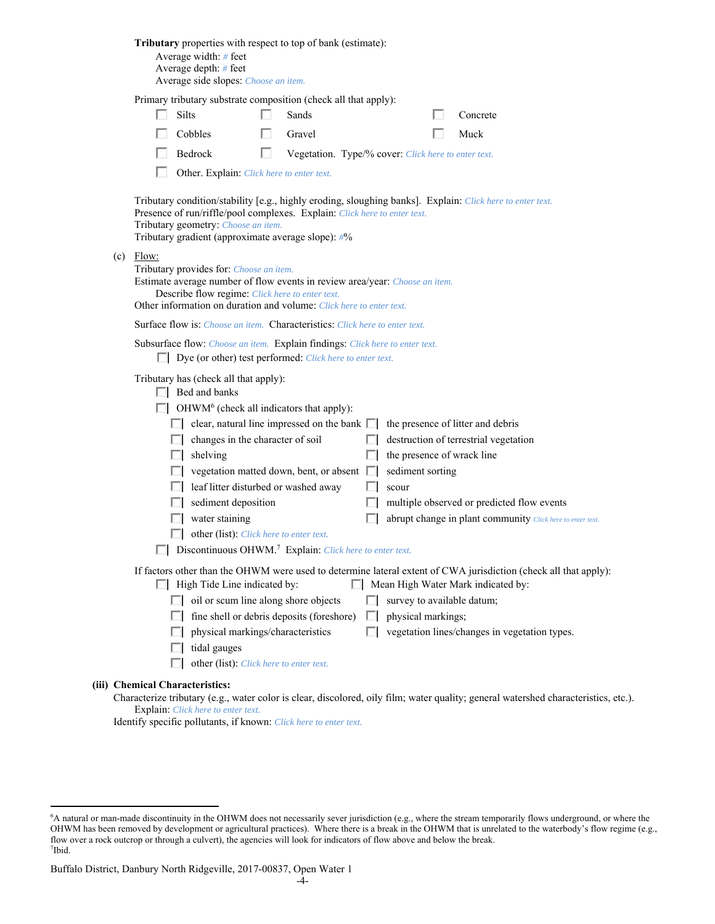|     | Tributary properties with respect to top of bank (estimate):<br>Average width: # feet<br>Average depth: # feet<br>Average side slopes: Choose an item.                                                                                                                                                                                                                                                                                                                                                                                                                                                                                                                                                                                |
|-----|---------------------------------------------------------------------------------------------------------------------------------------------------------------------------------------------------------------------------------------------------------------------------------------------------------------------------------------------------------------------------------------------------------------------------------------------------------------------------------------------------------------------------------------------------------------------------------------------------------------------------------------------------------------------------------------------------------------------------------------|
|     | Primary tributary substrate composition (check all that apply):                                                                                                                                                                                                                                                                                                                                                                                                                                                                                                                                                                                                                                                                       |
|     | Silts<br>Sands<br>Concrete                                                                                                                                                                                                                                                                                                                                                                                                                                                                                                                                                                                                                                                                                                            |
|     | Cobbles<br>Muck<br>Gravel                                                                                                                                                                                                                                                                                                                                                                                                                                                                                                                                                                                                                                                                                                             |
|     | Bedrock<br>п<br>Vegetation. Type/% cover: Click here to enter text.                                                                                                                                                                                                                                                                                                                                                                                                                                                                                                                                                                                                                                                                   |
|     | Other. Explain: Click here to enter text.                                                                                                                                                                                                                                                                                                                                                                                                                                                                                                                                                                                                                                                                                             |
|     | Tributary condition/stability [e.g., highly eroding, sloughing banks]. Explain: Click here to enter text.<br>Presence of run/riffle/pool complexes. Explain: Click here to enter text.<br>Tributary geometry: Choose an item.<br>Tributary gradient (approximate average slope): #%                                                                                                                                                                                                                                                                                                                                                                                                                                                   |
| (c) | Flow:<br>Tributary provides for: Choose an item.<br>Estimate average number of flow events in review area/year: Choose an item.<br>Describe flow regime: Click here to enter text.<br>Other information on duration and volume: Click here to enter text.                                                                                                                                                                                                                                                                                                                                                                                                                                                                             |
|     | <b>Surface flow is:</b> <i>Choose an item.</i> <b>Characteristics:</b> <i>Click here to enter text.</i>                                                                                                                                                                                                                                                                                                                                                                                                                                                                                                                                                                                                                               |
|     | Subsurface flow: Choose an item. Explain findings: Click here to enter text.<br>$\Box$ Dye (or other) test performed: <i>Click here to enter text.</i>                                                                                                                                                                                                                                                                                                                                                                                                                                                                                                                                                                                |
|     | Tributary has (check all that apply):<br>$\Box$ Bed and banks<br>OHWM <sup>6</sup> (check all indicators that apply):<br>$\Box$ clear, natural line impressed on the bank $\Box$<br>the presence of litter and debris<br>changes in the character of soil<br>destruction of terrestrial vegetation<br>the presence of wrack line<br>shelving<br>vegetation matted down, bent, or absent  <br>sediment sorting<br>leaf litter disturbed or washed away<br>scour<br>sediment deposition<br>multiple observed or predicted flow events<br>water staining<br>abrupt change in plant community Click here to enter text.<br>other (list): Click here to enter text.<br>Discontinuous OHWM. <sup>7</sup> Explain: Click here to enter text. |
|     | If factors other than the OHWM were used to determine lateral extent of CWA jurisdiction (check all that apply):<br>$\Box$ High Tide Line indicated by:<br>Mean High Water Mark indicated by:                                                                                                                                                                                                                                                                                                                                                                                                                                                                                                                                         |
|     | oil or scum line along shore objects<br>survey to available datum;                                                                                                                                                                                                                                                                                                                                                                                                                                                                                                                                                                                                                                                                    |
|     | fine shell or debris deposits (foreshore)<br>physical markings;                                                                                                                                                                                                                                                                                                                                                                                                                                                                                                                                                                                                                                                                       |
|     | physical markings/characteristics<br>vegetation lines/changes in vegetation types.                                                                                                                                                                                                                                                                                                                                                                                                                                                                                                                                                                                                                                                    |
|     | tidal gauges                                                                                                                                                                                                                                                                                                                                                                                                                                                                                                                                                                                                                                                                                                                          |
|     | other (list): Click here to enter text.                                                                                                                                                                                                                                                                                                                                                                                                                                                                                                                                                                                                                                                                                               |
|     | (iii) Chemical Characteristics:                                                                                                                                                                                                                                                                                                                                                                                                                                                                                                                                                                                                                                                                                                       |
|     | Characterize tributary (e.g., water color is clear, discolored, oily film; water quality; general watershed characteristics, etc.).                                                                                                                                                                                                                                                                                                                                                                                                                                                                                                                                                                                                   |

Explain: *Click here to enter text.*

Identify specific pollutants, if known: *Click here to enter text.*

 $\overline{a}$ 

<sup>6</sup> A natural or man-made discontinuity in the OHWM does not necessarily sever jurisdiction (e.g., where the stream temporarily flows underground, or where the OHWM has been removed by development or agricultural practices). Where there is a break in the OHWM that is unrelated to the waterbody's flow regime (e.g., flow over a rock outcrop or through a culvert), the agencies will look for indicators of flow above and below the break. 7 Ibid.

Buffalo District, Danbury North Ridgeville, 2017-00837, Open Water 1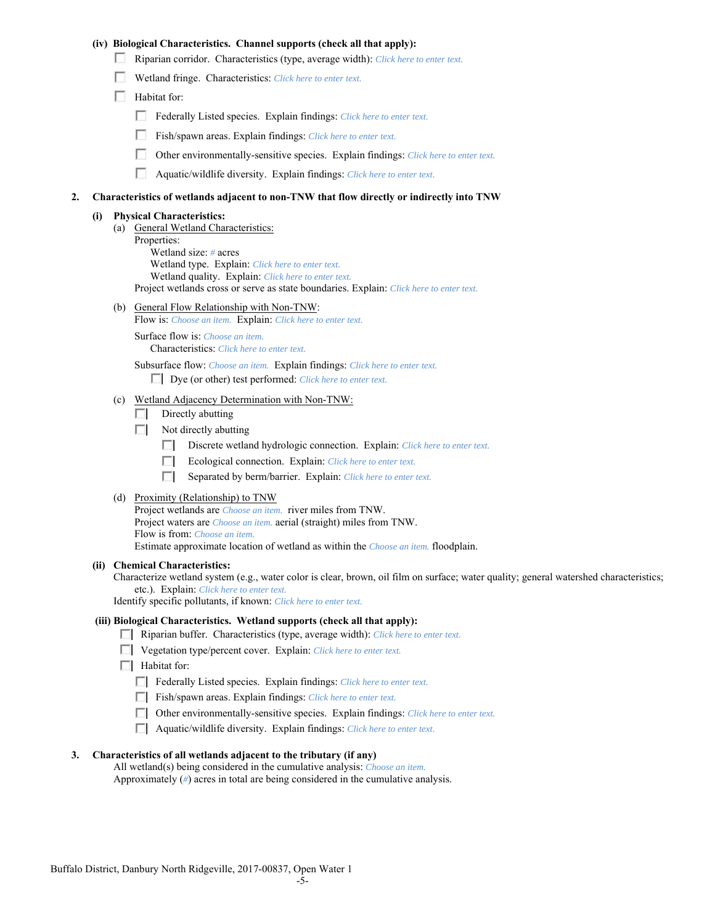### **(iv) Biological Characteristics. Channel supports (check all that apply):**

- Riparian corridor. Characteristics (type, average width): *Click here to enter text.*
- Wetland fringe. Characteristics: *Click here to enter text.*
- $\Box$  Habitat for:
	- Federally Listed species. Explain findings: *Click here to enter text.*
	- п. Fish/spawn areas. Explain findings: *Click here to enter text.*
	- П. Other environmentally-sensitive species. Explain findings: *Click here to enter text.*
	- п. Aquatic/wildlife diversity. Explain findings: *Click here to enter text.*

### **2. Characteristics of wetlands adjacent to non-TNW that flow directly or indirectly into TNW**

### **(i) Physical Characteristics:**

- (a) General Wetland Characteristics:
	- Properties:

 Wetland size: *#* acres Wetland type. Explain: *Click here to enter text.*

Wetland quality. Explain: *Click here to enter text.*

Project wetlands cross or serve as state boundaries. Explain: *Click here to enter text.*

(b) General Flow Relationship with Non-TNW: Flow is: *Choose an item.* Explain: *Click here to enter text.*

 Surface flow is: *Choose an item.* Characteristics: *Click here to enter text.*

Subsurface flow: *Choose an item.* Explain findings: *Click here to enter text.*

Dye (or other) test performed: *Click here to enter text.*

### (c) Wetland Adjacency Determination with Non-TNW:

- $\Box$  Directly abutting
- $\Box$  Not directly abutting
	- п. Discrete wetland hydrologic connection. Explain: *Click here to enter text.*
	- Ecological connection. Explain: *Click here to enter text.* П.
	- П. Separated by berm/barrier. Explain: *Click here to enter text.*
- (d) Proximity (Relationship) to TNW

Project wetlands are *Choose an item.* river miles from TNW. Project waters are *Choose an item.* aerial (straight) miles from TNW. Flow is from: *Choose an item.* Estimate approximate location of wetland as within the *Choose an item.* floodplain.

#### **(ii) Chemical Characteristics:**

Characterize wetland system (e.g., water color is clear, brown, oil film on surface; water quality; general watershed characteristics; etc.). Explain: *Click here to enter text.*

Identify specific pollutants, if known: *Click here to enter text.*

#### **(iii) Biological Characteristics. Wetland supports (check all that apply):**

- Riparian buffer. Characteristics (type, average width): *Click here to enter text.*
- Vegetation type/percent cover. Explain: *Click here to enter text.*
- $\Box$  Habitat for:
	- Federally Listed species. Explain findings: *Click here to enter text*.
	- Fish/spawn areas. Explain findings: *Click here to enter text*.
	- Other environmentally-sensitive species. Explain findings: *Click here to enter text.*
	- Aquatic/wildlife diversity. Explain findings: *Click here to enter text.*

#### **3. Characteristics of all wetlands adjacent to the tributary (if any)**

 All wetland(s) being considered in the cumulative analysis: *Choose an item.* Approximately (*#*) acres in total are being considered in the cumulative analysis.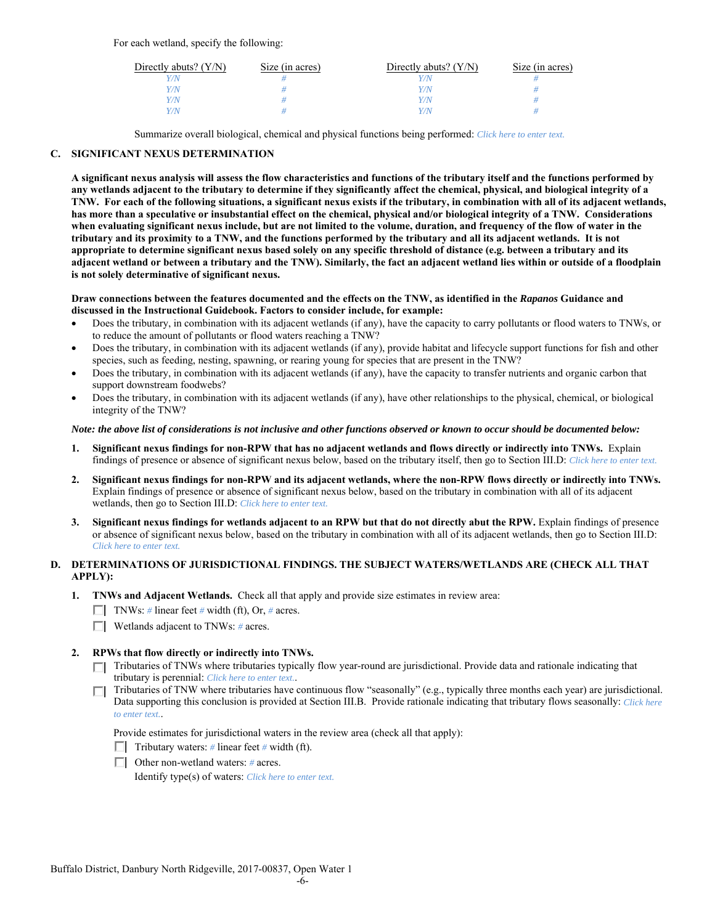For each wetland, specify the following:

| Directly abuts? $(Y/N)$ | Size (in acres) | Directly abuts? $(Y/N)$ | Size (in acres) |
|-------------------------|-----------------|-------------------------|-----------------|
|                         |                 |                         |                 |
| Y/N                     |                 | Y / N/                  |                 |
| 7/N                     |                 | 77 N                    |                 |
| V/N                     |                 | 77 N                    |                 |

Summarize overall biological, chemical and physical functions being performed: *Click here to enter text.*

## **C. SIGNIFICANT NEXUS DETERMINATION**

**A significant nexus analysis will assess the flow characteristics and functions of the tributary itself and the functions performed by any wetlands adjacent to the tributary to determine if they significantly affect the chemical, physical, and biological integrity of a TNW. For each of the following situations, a significant nexus exists if the tributary, in combination with all of its adjacent wetlands, has more than a speculative or insubstantial effect on the chemical, physical and/or biological integrity of a TNW. Considerations when evaluating significant nexus include, but are not limited to the volume, duration, and frequency of the flow of water in the tributary and its proximity to a TNW, and the functions performed by the tributary and all its adjacent wetlands. It is not appropriate to determine significant nexus based solely on any specific threshold of distance (e.g. between a tributary and its adjacent wetland or between a tributary and the TNW). Similarly, the fact an adjacent wetland lies within or outside of a floodplain is not solely determinative of significant nexus.** 

#### **Draw connections between the features documented and the effects on the TNW, as identified in the** *Rapanos* **Guidance and discussed in the Instructional Guidebook. Factors to consider include, for example:**

- Does the tributary, in combination with its adjacent wetlands (if any), have the capacity to carry pollutants or flood waters to TNWs, or to reduce the amount of pollutants or flood waters reaching a TNW?
- Does the tributary, in combination with its adjacent wetlands (if any), provide habitat and lifecycle support functions for fish and other species, such as feeding, nesting, spawning, or rearing young for species that are present in the TNW?
- Does the tributary, in combination with its adjacent wetlands (if any), have the capacity to transfer nutrients and organic carbon that support downstream foodwebs?
- Does the tributary, in combination with its adjacent wetlands (if any), have other relationships to the physical, chemical, or biological integrity of the TNW?

### *Note: the above list of considerations is not inclusive and other functions observed or known to occur should be documented below:*

- **1. Significant nexus findings for non-RPW that has no adjacent wetlands and flows directly or indirectly into TNWs.** Explain findings of presence or absence of significant nexus below, based on the tributary itself, then go to Section III.D: *Click here to enter text.*
- **2. Significant nexus findings for non-RPW and its adjacent wetlands, where the non-RPW flows directly or indirectly into TNWs.**  Explain findings of presence or absence of significant nexus below, based on the tributary in combination with all of its adjacent wetlands, then go to Section III.D: *Click here to enter text.*
- **3. Significant nexus findings for wetlands adjacent to an RPW but that do not directly abut the RPW.** Explain findings of presence or absence of significant nexus below, based on the tributary in combination with all of its adjacent wetlands, then go to Section III.D: *Click here to enter text.*

## **D. DETERMINATIONS OF JURISDICTIONAL FINDINGS. THE SUBJECT WATERS/WETLANDS ARE (CHECK ALL THAT APPLY):**

- **1. TNWs and Adjacent Wetlands.** Check all that apply and provide size estimates in review area:
	- TNWs: *#* linear feet *#* width (ft), Or, *#* acres.
	- Wetlands adjacent to TNWs: *#* acres.

## **2. RPWs that flow directly or indirectly into TNWs.**

- Tributaries of TNWs where tributaries typically flow year-round are jurisdictional. Provide data and rationale indicating that tributary is perennial: *Click here to enter text.*.
- Tributaries of TNW where tributaries have continuous flow "seasonally" (e.g., typically three months each year) are jurisdictional. Data supporting this conclusion is provided at Section III.B. Provide rationale indicating that tributary flows seasonally: *Click here to enter text.*.

Provide estimates for jurisdictional waters in the review area (check all that apply):

- $\Box$  Tributary waters: # linear feet # width (ft).
- Other non-wetland waters: *#* acres.

Identify type(s) of waters: *Click here to enter text.*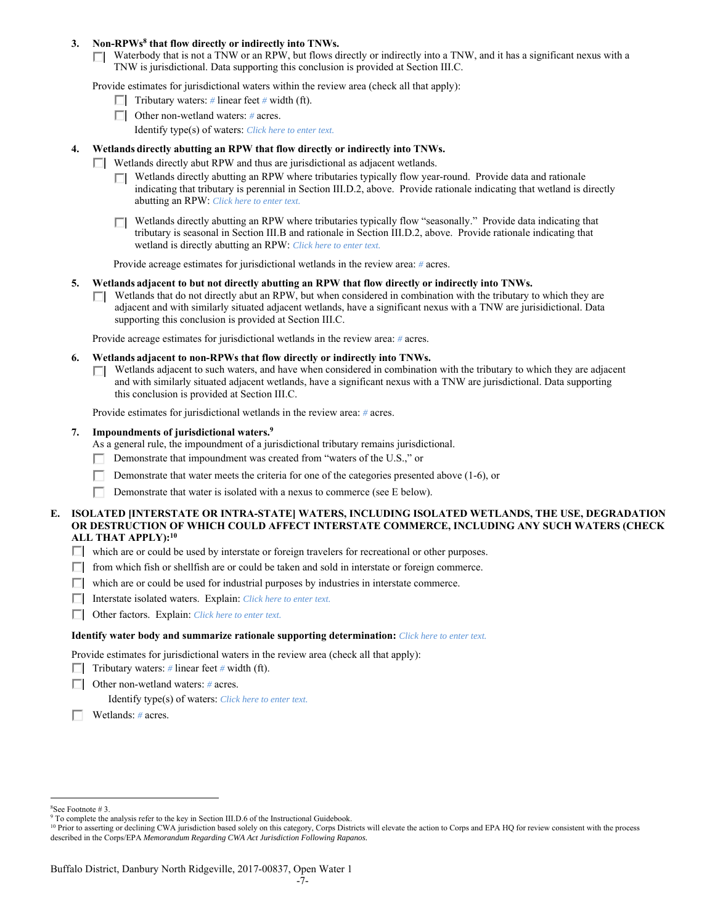### 3. Non-RPWs<sup>8</sup> that flow directly or indirectly into TNWs.

Waterbody that is not a TNW or an RPW, but flows directly or indirectly into a TNW, and it has a significant nexus with a TNW is jurisdictional. Data supporting this conclusion is provided at Section III.C.

Provide estimates for jurisdictional waters within the review area (check all that apply):

- **Tributary waters:** # linear feet # width (ft).
- Other non-wetland waters: *#* acres. Identify type(s) of waters: *Click here to enter text.*
- **4. Wetlands directly abutting an RPW that flow directly or indirectly into TNWs.**
	- Wetlands directly abut RPW and thus are jurisdictional as adjacent wetlands.
		- Wetlands directly abutting an RPW where tributaries typically flow year-round. Provide data and rationale indicating that tributary is perennial in Section III.D.2, above. Provide rationale indicating that wetland is directly abutting an RPW: *Click here to enter text.*
		- Wetlands directly abutting an RPW where tributaries typically flow "seasonally." Provide data indicating that П tributary is seasonal in Section III.B and rationale in Section III.D.2, above. Provide rationale indicating that wetland is directly abutting an RPW: *Click here to enter text.*

Provide acreage estimates for jurisdictional wetlands in the review area: *#* acres.

- **5. Wetlands adjacent to but not directly abutting an RPW that flow directly or indirectly into TNWs.** 
	- $\Box$  Wetlands that do not directly abut an RPW, but when considered in combination with the tributary to which they are adjacent and with similarly situated adjacent wetlands, have a significant nexus with a TNW are jurisidictional. Data supporting this conclusion is provided at Section III.C.

Provide acreage estimates for jurisdictional wetlands in the review area: *#* acres.

- **6. Wetlands adjacent to non-RPWs that flow directly or indirectly into TNWs.** 
	- Wetlands adjacent to such waters, and have when considered in combination with the tributary to which they are adjacent and with similarly situated adjacent wetlands, have a significant nexus with a TNW are jurisdictional. Data supporting this conclusion is provided at Section III.C.

Provide estimates for jurisdictional wetlands in the review area: *#* acres.

 **7. Impoundments of jurisdictional waters.9**

As a general rule, the impoundment of a jurisdictional tributary remains jurisdictional.

- Demonstrate that impoundment was created from "waters of the U.S.," or
- Demonstrate that water meets the criteria for one of the categories presented above (1-6), or
- г Demonstrate that water is isolated with a nexus to commerce (see E below).
- **E. ISOLATED [INTERSTATE OR INTRA-STATE] WATERS, INCLUDING ISOLATED WETLANDS, THE USE, DEGRADATION OR DESTRUCTION OF WHICH COULD AFFECT INTERSTATE COMMERCE, INCLUDING ANY SUCH WATERS (CHECK ALL THAT APPLY):10**
	- which are or could be used by interstate or foreign travelers for recreational or other purposes.
	- $\Box$  from which fish or shellfish are or could be taken and sold in interstate or foreign commerce.
	- $\Box$  which are or could be used for industrial purposes by industries in interstate commerce.
	- Interstate isolated waters.Explain: *Click here to enter text.*
	- Other factors.Explain: *Click here to enter text.*

#### **Identify water body and summarize rationale supporting determination:** *Click here to enter text.*

Provide estimates for jurisdictional waters in the review area (check all that apply):

- $\Box$  Tributary waters: # linear feet # width (ft).
- Other non-wetland waters: *#* acres.

Identify type(s) of waters: *Click here to enter text.*

Wetlands: *#* acres.

 $\overline{a}$ 8 See Footnote # 3.

<sup>&</sup>lt;sup>9</sup> To complete the analysis refer to the key in Section III.D.6 of the Instructional Guidebook.

<sup>&</sup>lt;sup>10</sup> Prior to asserting or declining CWA jurisdiction based solely on this category, Corps Districts will elevate the action to Corps and EPA HQ for review consistent with the process described in the Corps/EPA *Memorandum Regarding CWA Act Jurisdiction Following Rapanos.*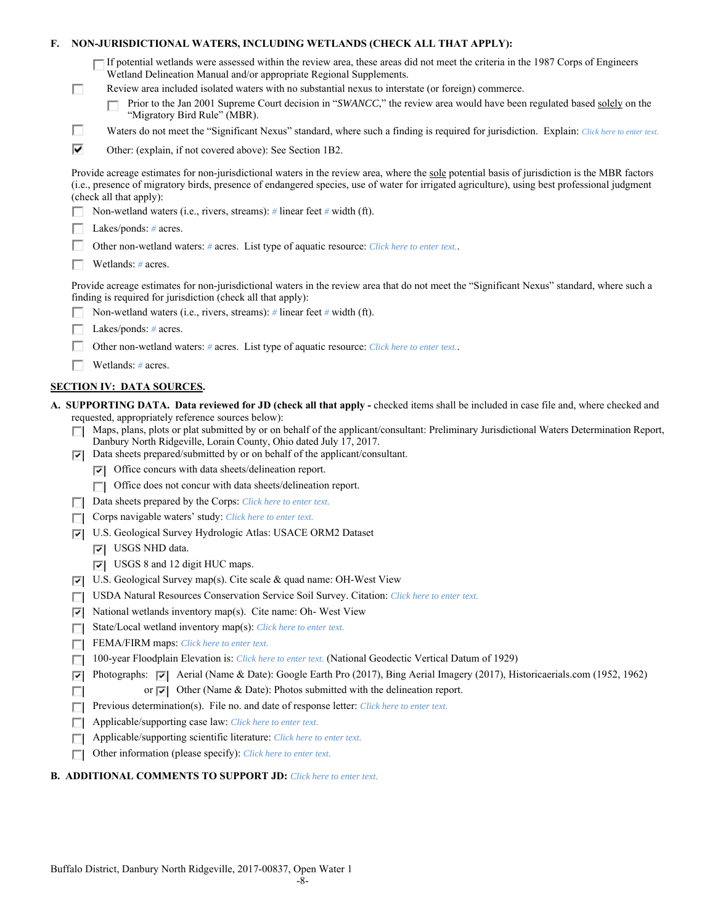| F. |                                                                                            | NON-JURISDICTIONAL WATERS, INCLUDING WETLANDS (CHECK ALL THAT APPLY):                                                                                                                                                                                                                                                     |  |
|----|--------------------------------------------------------------------------------------------|---------------------------------------------------------------------------------------------------------------------------------------------------------------------------------------------------------------------------------------------------------------------------------------------------------------------------|--|
|    |                                                                                            | $\blacksquare$ If potential wetlands were assessed within the review area, these areas did not meet the criteria in the 1987 Corps of Engineers<br>Wetland Delineation Manual and/or appropriate Regional Supplements.                                                                                                    |  |
|    | п                                                                                          | Review area included isolated waters with no substantial nexus to interstate (or foreign) commerce.                                                                                                                                                                                                                       |  |
|    |                                                                                            | Prior to the Jan 2001 Supreme Court decision in "SWANCC," the review area would have been regulated based solely on the                                                                                                                                                                                                   |  |
|    |                                                                                            | "Migratory Bird Rule" (MBR).                                                                                                                                                                                                                                                                                              |  |
|    | п                                                                                          | Waters do not meet the "Significant Nexus" standard, where such a finding is required for jurisdiction. Explain: Click here to enter text.                                                                                                                                                                                |  |
|    | ⊽                                                                                          | Other: (explain, if not covered above): See Section 1B2.                                                                                                                                                                                                                                                                  |  |
|    |                                                                                            | Provide acreage estimates for non-jurisdictional waters in the review area, where the sole potential basis of jurisdiction is the MBR factors<br>(i.e., presence of migratory birds, presence of endangered species, use of water for irrigated agriculture), using best professional judgment<br>(check all that apply): |  |
|    |                                                                                            | Non-wetland waters (i.e., rivers, streams): $\#$ linear feet $\#$ width (ft).                                                                                                                                                                                                                                             |  |
|    |                                                                                            | Lakes/ponds: $# \, \text{acres.}$                                                                                                                                                                                                                                                                                         |  |
|    | Other non-wetland waters: # acres. List type of aquatic resource: Click here to enter text |                                                                                                                                                                                                                                                                                                                           |  |
|    |                                                                                            | Wetlands: # acres.                                                                                                                                                                                                                                                                                                        |  |
|    |                                                                                            | Provide acreage estimates for non-jurisdictional waters in the review area that do not meet the "Significant Nexus" standard, where such a<br>finding is required for jurisdiction (check all that apply):                                                                                                                |  |
|    |                                                                                            | Non-wetland waters (i.e., rivers, streams): $\#$ linear feet $\#$ width (ft).                                                                                                                                                                                                                                             |  |
|    |                                                                                            | Lakes/ponds: $# \, \text{acres.}$                                                                                                                                                                                                                                                                                         |  |
|    |                                                                                            | Other non-wetland waters: # acres. List type of aquatic resource: Click here to enter text.                                                                                                                                                                                                                               |  |
|    |                                                                                            | Wetlands: # acres.                                                                                                                                                                                                                                                                                                        |  |
|    |                                                                                            | <b>SECTION IV: DATA SOURCES.</b>                                                                                                                                                                                                                                                                                          |  |
|    |                                                                                            | A. SUPPORTING DATA. Data reviewed for JD (check all that apply - checked items shall be included in case file and, where checked and                                                                                                                                                                                      |  |
|    |                                                                                            | requested, appropriately reference sources below):                                                                                                                                                                                                                                                                        |  |
|    | ⊡                                                                                          | Maps, plans, plots or plat submitted by or on behalf of the applicant/consultant: Preliminary Jurisdictional Waters Determination Report,<br>Danbury North Ridgeville, Lorain County, Ohio dated July 17, 2017.<br>Data sheets prepared/submitted by or on behalf of the applicant/consultant.                            |  |
|    |                                                                                            | $ \nabla $ Office concurs with data sheets/delineation report.                                                                                                                                                                                                                                                            |  |
|    |                                                                                            | Office does not concur with data sheets/delineation report.<br>ПL.                                                                                                                                                                                                                                                        |  |
|    |                                                                                            | Data sheets prepared by the Corps: Click here to enter text.                                                                                                                                                                                                                                                              |  |
|    |                                                                                            | Corps navigable waters' study: Click here to enter text.                                                                                                                                                                                                                                                                  |  |
|    | 罓                                                                                          | U.S. Geological Survey Hydrologic Atlas: USACE ORM2 Dataset                                                                                                                                                                                                                                                               |  |
|    |                                                                                            | $ \overline{v} $ USGS NHD data.                                                                                                                                                                                                                                                                                           |  |
|    |                                                                                            | $\triangledown$ USGS 8 and 12 digit HUC maps.                                                                                                                                                                                                                                                                             |  |
|    | ⊽                                                                                          | U.S. Geological Survey map(s). Cite scale & quad name: OH-West View                                                                                                                                                                                                                                                       |  |
|    | П                                                                                          | USDA Natural Resources Conservation Service Soil Survey. Citation: Click here to enter text.                                                                                                                                                                                                                              |  |
|    | 罓                                                                                          | National wetlands inventory map(s). Cite name: Oh- West View                                                                                                                                                                                                                                                              |  |
|    |                                                                                            | State/Local wetland inventory map(s): Click here to enter text.                                                                                                                                                                                                                                                           |  |
|    | г                                                                                          | FEMA/FIRM maps: Click here to enter text.                                                                                                                                                                                                                                                                                 |  |
|    | п                                                                                          | 100-year Floodplain Elevation is: Click here to enter text. (National Geodectic Vertical Datum of 1929)                                                                                                                                                                                                                   |  |
|    | ⊽                                                                                          | Photographs: $\overline{\vee}$ Aerial (Name & Date): Google Earth Pro (2017), Bing Aerial Imagery (2017), Historicaerials.com (1952, 1962)                                                                                                                                                                                |  |
|    | п                                                                                          | or $\overline{ \mathbf{v} }$ Other (Name & Date): Photos submitted with the delineation report.                                                                                                                                                                                                                           |  |
|    | г                                                                                          | Previous determination(s). File no. and date of response letter: Click here to enter text.                                                                                                                                                                                                                                |  |
|    | П                                                                                          | Applicable/supporting case law: Click here to enter text.                                                                                                                                                                                                                                                                 |  |
|    |                                                                                            | Applicable/supporting scientific literature: Click here to enter text.                                                                                                                                                                                                                                                    |  |
|    |                                                                                            | Other information (please specify): Click here to enter text.                                                                                                                                                                                                                                                             |  |

# **B. ADDITIONAL COMMENTS TO SUPPORT JD:** *Click here to enter text.*